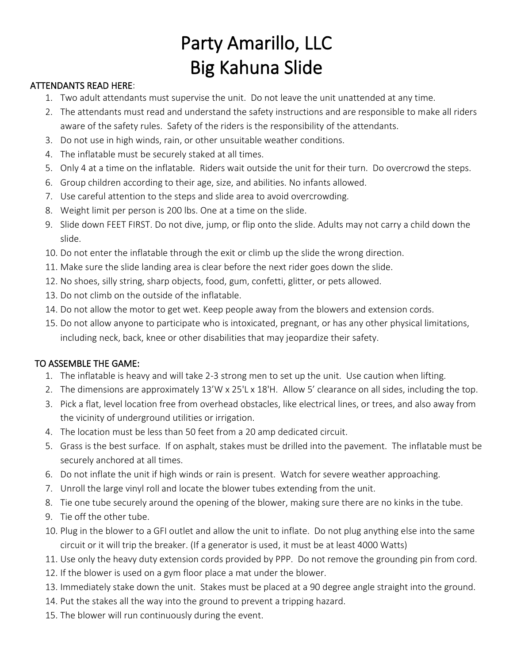## Party Amarillo, LLC Big Kahuna Slide

## ATTENDANTS READ HERE:

- 1. Two adult attendants must supervise the unit. Do not leave the unit unattended at any time.
- 2. The attendants must read and understand the safety instructions and are responsible to make all riders aware of the safety rules. Safety of the riders is the responsibility of the attendants.
- 3. Do not use in high winds, rain, or other unsuitable weather conditions.
- 4. The inflatable must be securely staked at all times.
- 5. Only 4 at a time on the inflatable. Riders wait outside the unit for their turn. Do overcrowd the steps.
- 6. Group children according to their age, size, and abilities. No infants allowed.
- 7. Use careful attention to the steps and slide area to avoid overcrowding.
- 8. Weight limit per person is 200 lbs. One at a time on the slide.
- 9. Slide down FEET FIRST. Do not dive, jump, or flip onto the slide. Adults may not carry a child down the slide.
- 10. Do not enter the inflatable through the exit or climb up the slide the wrong direction.
- 11. Make sure the slide landing area is clear before the next rider goes down the slide.
- 12. No shoes, silly string, sharp objects, food, gum, confetti, glitter, or pets allowed.
- 13. Do not climb on the outside of the inflatable.
- 14. Do not allow the motor to get wet. Keep people away from the blowers and extension cords.
- 15. Do not allow anyone to participate who is intoxicated, pregnant, or has any other physical limitations, including neck, back, knee or other disabilities that may jeopardize their safety.

## TO ASSEMBLE THE GAME:

- 1. The inflatable is heavy and will take 2-3 strong men to set up the unit. Use caution when lifting.
- 2. The dimensions are approximately 13'W x 25'L x 18'H. Allow 5' clearance on all sides, including the top.
- 3. Pick a flat, level location free from overhead obstacles, like electrical lines, or trees, and also away from the vicinity of underground utilities or irrigation.
- 4. The location must be less than 50 feet from a 20 amp dedicated circuit.
- 5. Grass is the best surface. If on asphalt, stakes must be drilled into the pavement. The inflatable must be securely anchored at all times.
- 6. Do not inflate the unit if high winds or rain is present. Watch for severe weather approaching.
- 7. Unroll the large vinyl roll and locate the blower tubes extending from the unit.
- 8. Tie one tube securely around the opening of the blower, making sure there are no kinks in the tube.
- 9. Tie off the other tube.
- 10. Plug in the blower to a GFI outlet and allow the unit to inflate. Do not plug anything else into the same circuit or it will trip the breaker. (If a generator is used, it must be at least 4000 Watts)
- 11. Use only the heavy duty extension cords provided by PPP. Do not remove the grounding pin from cord.
- 12. If the blower is used on a gym floor place a mat under the blower.
- 13. Immediately stake down the unit. Stakes must be placed at a 90 degree angle straight into the ground.
- 14. Put the stakes all the way into the ground to prevent a tripping hazard.
- 15. The blower will run continuously during the event.